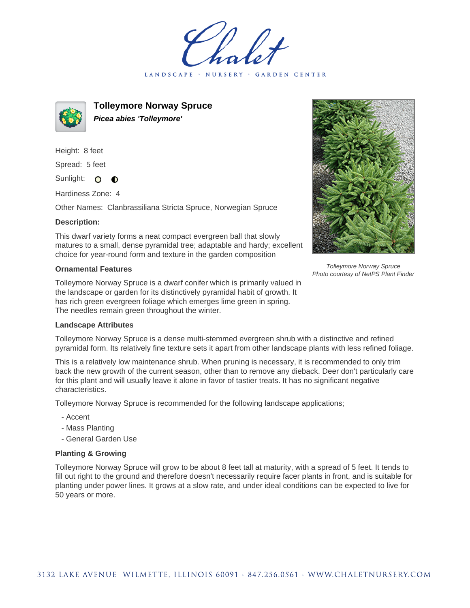LANDSCAPE · NURSERY · GARDEN CENTER



**Tolleymore Norway Spruce Picea abies 'Tolleymore'**

Height: 8 feet Spread: 5 feet Sunlight: O

Hardiness Zone: 4

 $\bullet$ 

Other Names: Clanbrassiliana Stricta Spruce, Norwegian Spruce

## **Description:**

This dwarf variety forms a neat compact evergreen ball that slowly matures to a small, dense pyramidal tree; adaptable and hardy; excellent choice for year-round form and texture in the garden composition

## **Ornamental Features**

Tolleymore Norway Spruce is a dwarf conifer which is primarily valued in the landscape or garden for its distinctively pyramidal habit of growth. It has rich green evergreen foliage which emerges lime green in spring. The needles remain green throughout the winter.

## **Landscape Attributes**

Tolleymore Norway Spruce is a dense multi-stemmed evergreen shrub with a distinctive and refined pyramidal form. Its relatively fine texture sets it apart from other landscape plants with less refined foliage.

This is a relatively low maintenance shrub. When pruning is necessary, it is recommended to only trim back the new growth of the current season, other than to remove any dieback. Deer don't particularly care for this plant and will usually leave it alone in favor of tastier treats. It has no significant negative characteristics.

Tolleymore Norway Spruce is recommended for the following landscape applications;

- Accent
- Mass Planting
- General Garden Use

## **Planting & Growing**

Tolleymore Norway Spruce will grow to be about 8 feet tall at maturity, with a spread of 5 feet. It tends to fill out right to the ground and therefore doesn't necessarily require facer plants in front, and is suitable for planting under power lines. It grows at a slow rate, and under ideal conditions can be expected to live for 50 years or more.



Tolleymore Norway Spruce Photo courtesy of NetPS Plant Finder